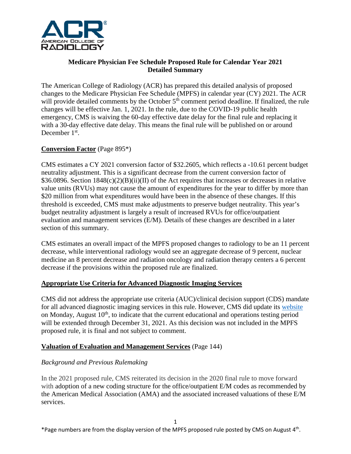

## **Medicare Physician Fee Schedule Proposed Rule for Calendar Year 2021 Detailed Summary**

The American College of Radiology (ACR) has prepared this detailed analysis of proposed changes to the Medicare Physician Fee Schedule (MPFS) in calendar year (CY) 2021. The ACR will provide detailed comments by the October 5<sup>th</sup> comment period deadline. If finalized, the rule changes will be effective Jan. 1, 2021. In the rule, due to the COVID-19 public health emergency, CMS is waiving the 60-day effective date delay for the final rule and replacing it with a 30-day effective date delay. This means the final rule will be published on or around December 1<sup>st</sup>.

# **Conversion Factor** (Page 895\*)

CMS estimates a CY 2021 conversion factor of \$32.2605, which reflects a -10.61 percent budget neutrality adjustment. This is a significant decrease from the current conversion factor of  $$36.0896$ . Section  $1848(c)(2)(B)(ii)(II)$  of the Act requires that increases or decreases in relative value units (RVUs) may not cause the amount of expenditures for the year to differ by more than \$20 million from what expenditures would have been in the absence of these changes. If this threshold is exceeded, CMS must make adjustments to preserve budget neutrality. This year's budget neutrality adjustment is largely a result of increased RVUs for office/outpatient evaluation and management services (E/M). Details of these changes are described in a later section of this summary.

CMS estimates an overall impact of the MPFS proposed changes to radiology to be an 11 percent decrease, while interventional radiology would see an aggregate decrease of 9 percent, nuclear medicine an 8 percent decrease and radiation oncology and radiation therapy centers a 6 percent decrease if the provisions within the proposed rule are finalized.

## **Appropriate Use Criteria for Advanced Diagnostic Imaging Services**

CMS did not address the appropriate use criteria (AUC)/clinical decision support (CDS) mandate for all advanced diagnostic imaging services in this rule. However, CMS did update its [website](https://www.cms.gov/Medicare/Quality-Initiatives-Patient-Assessment-Instruments/Appropriate-Use-Criteria-Program/CDSM) on Monday, August  $10<sup>th</sup>$ , to indicate that the current educational and operations testing period will be extended through December 31, 2021. As this decision was not included in the MPFS proposed rule, it is final and not subject to comment.

### **Valuation of Evaluation and Management Services** (Page 144)

## *Background and Previous Rulemaking*

In the 2021 proposed rule, CMS reiterated its decision in the 2020 final rule to move forward with adoption of a new coding structure for the office/outpatient E/M codes as recommended by the American Medical Association (AMA) and the associated increased valuations of these E/M services.

\*Page numbers are from the display version of the MPFS proposed rule posted by CMS on August  $4<sup>th</sup>$ .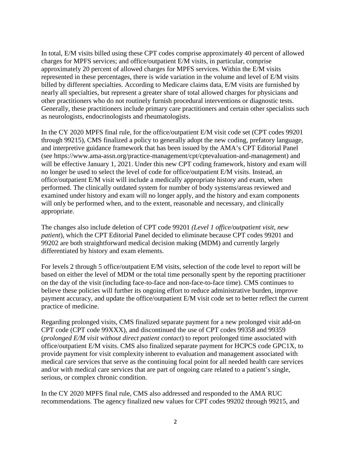In total, E/M visits billed using these CPT codes comprise approximately 40 percent of allowed charges for MPFS services; and office/outpatient E/M visits, in particular, comprise approximately 20 percent of allowed charges for MPFS services. Within the E/M visits represented in these percentages, there is wide variation in the volume and level of E/M visits billed by different specialties. According to Medicare claims data, E/M visits are furnished by nearly all specialties, but represent a greater share of total allowed charges for physicians and other practitioners who do not routinely furnish procedural interventions or diagnostic tests. Generally, these practitioners include primary care practitioners and certain other specialists such as neurologists, endocrinologists and rheumatologists.

In the CY 2020 MPFS final rule, for the office/outpatient E/M visit code set (CPT codes 99201 through 99215), CMS finalized a policy to generally adopt the new coding, prefatory language, and interpretive guidance framework that has been issued by the AMA's CPT Editorial Panel (see https://www.ama-assn.org/practice-management/cpt/cptevaluation-and-management) and will be effective January 1, 2021. Under this new CPT coding framework, history and exam will no longer be used to select the level of code for office/outpatient E/M visits. Instead, an office/outpatient E/M visit will include a medically appropriate history and exam, when performed. The clinically outdated system for number of body systems/areas reviewed and examined under history and exam will no longer apply, and the history and exam components will only be performed when, and to the extent, reasonable and necessary, and clinically appropriate.

The changes also include deletion of CPT code 99201 *(Level 1 office/outpatient visit, new patient*), which the CPT Editorial Panel decided to eliminate because CPT codes 99201 and 99202 are both straightforward medical decision making (MDM) and currently largely differentiated by history and exam elements.

For levels 2 through 5 office/outpatient E/M visits, selection of the code level to report will be based on either the level of MDM or the total time personally spent by the reporting practitioner on the day of the visit (including face-to-face and non-face-to-face time). CMS continues to believe these policies will further its ongoing effort to reduce administrative burden, improve payment accuracy, and update the office/outpatient E/M visit code set to better reflect the current practice of medicine.

Regarding prolonged visits, CMS finalized separate payment for a new prolonged visit add-on CPT code (CPT code 99XXX), and discontinued the use of CPT codes 99358 and 99359 (*prolonged E/M visit without direct patient contact*) to report prolonged time associated with office/outpatient E/M visits. CMS also finalized separate payment for HCPCS code GPC1X, to provide payment for visit complexity inherent to evaluation and management associated with medical care services that serve as the continuing focal point for all needed health care services and/or with medical care services that are part of ongoing care related to a patient's single, serious, or complex chronic condition.

In the CY 2020 MPFS final rule, CMS also addressed and responded to the AMA RUC recommendations. The agency finalized new values for CPT codes 99202 through 99215, and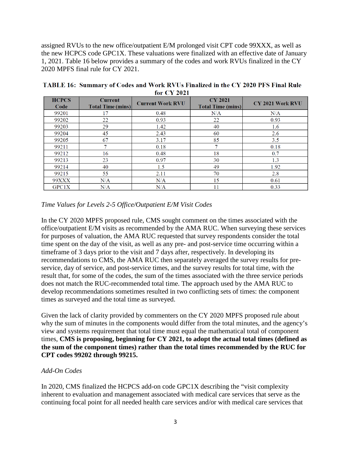assigned RVUs to the new office/outpatient E/M prolonged visit CPT code 99XXX, as well as the new HCPCS code GPC1X. These valuations were finalized with an effective date of January 1, 2021. Table 16 below provides a summary of the codes and work RVUs finalized in the CY 2020 MPFS final rule for CY 2021.

| <b>HCPCS</b><br>Code | <b>Current</b><br><b>Total Time (mins)</b> | <b>Current Work RVU</b> | <b>CY 2021</b><br><b>Total Time (mins)</b> | <b>CY 2021 Work RVU</b> |  |
|----------------------|--------------------------------------------|-------------------------|--------------------------------------------|-------------------------|--|
| 99201                | 17                                         | 0.48                    | N/A                                        | N/A                     |  |
| 99202                | 22                                         | 0.93                    | 22                                         | 0.93                    |  |
| 99203                | 29                                         | 1.42                    | 40                                         | 1.6                     |  |
| 99204                | 45                                         | 2.43                    | 60                                         | 2.6                     |  |
| 99205                | 67                                         | 3.17                    | 85                                         | 3.5                     |  |
| 99211                | ,                                          | 0.18                    | 7                                          | 0.18                    |  |
| 99212                | 16                                         | 0.48                    | 18                                         | 0.7                     |  |
| 99213                | 23                                         | 0.97                    | 30                                         | 1.3                     |  |
| 99214                | 40                                         | 1.5                     | 49                                         | 1.92                    |  |
| 99215                | 55                                         | 2.11                    | 70                                         | 2.8                     |  |
| <b>99XXX</b>         | N/A                                        | N/A                     | 15                                         | 0.61                    |  |
| GPC1X                | N/A                                        | N/A                     | 11                                         | 0.33                    |  |

TABLE 16: Summary of Codes and Work RVUs Finalized in the CY 2020 PFS Final Rule for CY 2021

### *Time Values for Levels 2-5 Office/Outpatient E/M Visit Codes*

In the CY 2020 MPFS proposed rule, CMS sought comment on the times associated with the office/outpatient E/M visits as recommended by the AMA RUC. When surveying these services for purposes of valuation, the AMA RUC requested that survey respondents consider the total time spent on the day of the visit, as well as any pre- and post-service time occurring within a timeframe of 3 days prior to the visit and 7 days after, respectively. In developing its recommendations to CMS, the AMA RUC then separately averaged the survey results for preservice, day of service, and post-service times, and the survey results for total time, with the result that, for some of the codes, the sum of the times associated with the three service periods does not match the RUC-recommended total time. The approach used by the AMA RUC to develop recommendations sometimes resulted in two conflicting sets of times: the component times as surveyed and the total time as surveyed.

Given the lack of clarity provided by commenters on the CY 2020 MPFS proposed rule about why the sum of minutes in the components would differ from the total minutes, and the agency's view and systems requirement that total time must equal the mathematical total of component times, **CMS is proposing, beginning for CY 2021, to adopt the actual total times (defined as the sum of the component times) rather than the total times recommended by the RUC for CPT codes 99202 through 99215.**

### *Add-On Codes*

In 2020, CMS finalized the HCPCS add-on code GPC1X describing the "visit complexity inherent to evaluation and management associated with medical care services that serve as the continuing focal point for all needed health care services and/or with medical care services that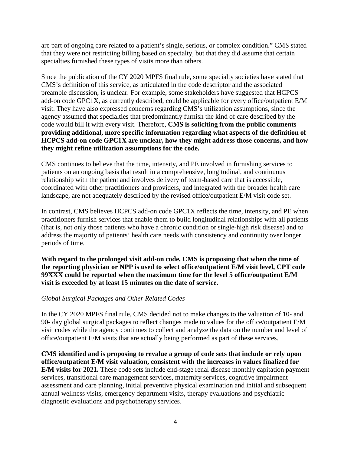are part of ongoing care related to a patient's single, serious, or complex condition." CMS stated that they were not restricting billing based on specialty, but that they did assume that certain specialties furnished these types of visits more than others.

Since the publication of the CY 2020 MPFS final rule, some specialty societies have stated that CMS's definition of this service, as articulated in the code descriptor and the associated preamble discussion, is unclear. For example, some stakeholders have suggested that HCPCS add-on code GPC1X, as currently described, could be applicable for every office/outpatient E/M visit. They have also expressed concerns regarding CMS's utilization assumptions, since the agency assumed that specialties that predominantly furnish the kind of care described by the code would bill it with every visit. Therefore, **CMS is soliciting from the public comments providing additional, more specific information regarding what aspects of the definition of HCPCS add-on code GPC1X are unclear, how they might address those concerns, and how they might refine utilization assumptions for the code.**

CMS continues to believe that the time, intensity, and PE involved in furnishing services to patients on an ongoing basis that result in a comprehensive, longitudinal, and continuous relationship with the patient and involves delivery of team-based care that is accessible, coordinated with other practitioners and providers, and integrated with the broader health care landscape, are not adequately described by the revised office/outpatient E/M visit code set.

In contrast, CMS believes HCPCS add-on code GPC1X reflects the time, intensity, and PE when practitioners furnish services that enable them to build longitudinal relationships with all patients (that is, not only those patients who have a chronic condition or single-high risk disease) and to address the majority of patients' health care needs with consistency and continuity over longer periods of time.

**With regard to the prolonged visit add-on code, CMS is proposing that when the time of the reporting physician or NPP is used to select office/outpatient E/M visit level, CPT code 99XXX could be reported when the maximum time for the level 5 office/outpatient E/M visit is exceeded by at least 15 minutes on the date of service.**

## *Global Surgical Packages and Other Related Codes*

In the CY 2020 MPFS final rule, CMS decided not to make changes to the valuation of 10- and 90- day global surgical packages to reflect changes made to values for the office/outpatient E/M visit codes while the agency continues to collect and analyze the data on the number and level of office/outpatient E/M visits that are actually being performed as part of these services.

**CMS identified and is proposing to revalue a group of code sets that include or rely upon office/outpatient E/M visit valuation, consistent with the increases in values finalized for E/M visits for 2021.** These code sets include end-stage renal disease monthly capitation payment services, transitional care management services, maternity services, cognitive impairment assessment and care planning, initial preventive physical examination and initial and subsequent annual wellness visits, emergency department visits, therapy evaluations and psychiatric diagnostic evaluations and psychotherapy services.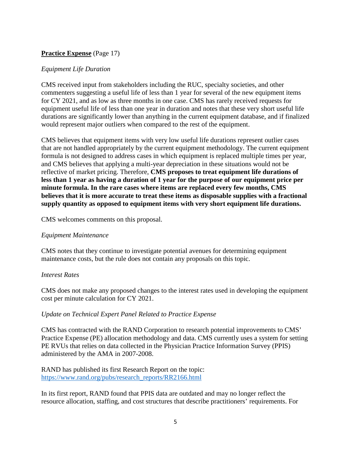# **Practice Expense** (Page 17)

### *Equipment Life Duration*

CMS received input from stakeholders including the RUC, specialty societies, and other commenters suggesting a useful life of less than 1 year for several of the new equipment items for CY 2021, and as low as three months in one case. CMS has rarely received requests for equipment useful life of less than one year in duration and notes that these very short useful life durations are significantly lower than anything in the current equipment database, and if finalized would represent major outliers when compared to the rest of the equipment.

CMS believes that equipment items with very low useful life durations represent outlier cases that are not handled appropriately by the current equipment methodology. The current equipment formula is not designed to address cases in which equipment is replaced multiple times per year, and CMS believes that applying a multi-year depreciation in these situations would not be reflective of market pricing. Therefore, **CMS proposes to treat equipment life durations of less than 1 year as having a duration of 1 year for the purpose of our equipment price per minute formula. In the rare cases where items are replaced every few months, CMS believes that it is more accurate to treat these items as disposable supplies with a fractional supply quantity as opposed to equipment items with very short equipment life durations.**

CMS welcomes comments on this proposal.

### *Equipment Maintenance*

CMS notes that they continue to investigate potential avenues for determining equipment maintenance costs, but the rule does not contain any proposals on this topic.

### *Interest Rates*

CMS does not make any proposed changes to the interest rates used in developing the equipment cost per minute calculation for CY 2021.

## *Update on Technical Expert Panel Related to Practice Expense*

CMS has contracted with the RAND Corporation to research potential improvements to CMS' Practice Expense (PE) allocation methodology and data. CMS currently uses a system for setting PE RVUs that relies on data collected in the Physician Practice Information Survey (PPIS) administered by the AMA in 2007-2008.

RAND has published its first Research Report on the topic: [https://www.rand.org/pubs/research\\_reports/RR2166.html](https://www.rand.org/pubs/research_reports/RR2166.html)

In its first report, RAND found that PPIS data are outdated and may no longer reflect the resource allocation, staffing, and cost structures that describe practitioners' requirements. For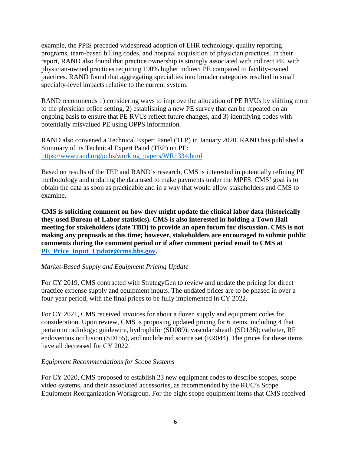example, the PPIS preceded widespread adoption of EHR technology, quality reporting programs, team-based billing codes, and hospital acquisition of physician practices. In their report, RAND also found that practice ownership is strongly associated with indirect PE, with physician-owned practices requiring 190% higher indirect PE compared to facility-owned practices. RAND found that aggregating specialties into broader categories resulted in small specialty-level impacts relative to the current system.

RAND recommends 1) considering ways to improve the allocation of PE RVUs by shifting more to the physician office setting, 2) establishing a new PE survey that can be repeated on an ongoing basis to ensure that PE RVUs reflect future changes, and 3) identifying codes with potentially misvalued PE using OPPS information.

RAND also convened a Technical Expert Panel (TEP) in January 2020. RAND has published a Summary of its Technical Expert Panel (TEP) on PE: [https://www.rand.org/pubs/working\\_papers/WR1334.html](https://www.rand.org/pubs/working_papers/WR1334.html)

Based on results of the TEP and RAND's research, CMS is interested in potentially refining PE methodology and updating the data used to make payments under the MPFS. CMS' goal is to obtain the data as soon as practicable and in a way that would allow stakeholders and CMS to examine.

**CMS is soliciting comment on how they might update the clinical labor data (historically they used Bureau of Labor statistics). CMS is also interested in holding a Town Hall meeting for stakeholders (date TBD) to provide an open forum for discussion. CMS is not making any proposals at this time; however, stakeholders are encouraged to submit public comments during the comment period or if after comment period email to CMS at [PE\\_Price\\_Input\\_Update@cms.hhs.gov.](mailto:PE_Price_Input_Update@cms.hhs.gov)**

## *Market-Based Supply and Equipment Pricing Update*

For CY 2019, CMS contracted with StrategyGen to review and update the pricing for direct practice expense supply and equipment inputs. The updated prices are to be phased in over a four-year period, with the final prices to be fully implemented in CY 2022.

For CY 2021, CMS received invoices for about a dozen supply and equipment codes for consideration. Upon review, CMS is proposing updated pricing for 6 items, including 4 that pertain to radiology: guidewire, hydrophilic (SD089); vascular sheath (SD136); catheter, RF endovenous occlusion (SD155), and nuclide rod source set (ER044). The prices for these items have all decreased for CY 2022.

### *Equipment Recommendations for Scope Systems*

For CY 2020, CMS proposed to establish 23 new equipment codes to describe scopes, scope video systems, and their associated accessories, as recommended by the RUC's Scope Equipment Reorganization Workgroup. For the eight scope equipment items that CMS received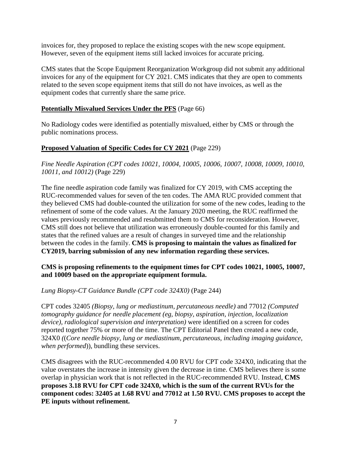invoices for, they proposed to replace the existing scopes with the new scope equipment. However, seven of the equipment items still lacked invoices for accurate pricing.

CMS states that the Scope Equipment Reorganization Workgroup did not submit any additional invoices for any of the equipment for CY 2021. CMS indicates that they are open to comments related to the seven scope equipment items that still do not have invoices, as well as the equipment codes that currently share the same price.

## **Potentially Misvalued Services Under the PFS** (Page 66)

No Radiology codes were identified as potentially misvalued, either by CMS or through the public nominations process.

## **Proposed Valuation of Specific Codes for CY 2021** (Page 229)

*Fine Needle Aspiration (CPT codes 10021, 10004, 10005, 10006, 10007, 10008, 10009, 10010, 10011, and 10012)* (Page 229)

The fine needle aspiration code family was finalized for CY 2019, with CMS accepting the RUC-recommended values for seven of the ten codes. The AMA RUC provided comment that they believed CMS had double-counted the utilization for some of the new codes, leading to the refinement of some of the code values. At the January 2020 meeting, the RUC reaffirmed the values previously recommended and resubmitted them to CMS for reconsideration. However, CMS still does not believe that utilization was erroneously double-counted for this family and states that the refined values are a result of changes in surveyed time and the relationship between the codes in the family. **CMS is proposing to maintain the values as finalized for CY2019, barring submission of any new information regarding these services.**

### **CMS is proposing refinements to the equipment times for CPT codes 10021, 10005, 10007, and 10009 based on the appropriate equipment formula.**

*Lung Biopsy-CT Guidance Bundle (CPT code 324X0)* (Page 244)

CPT codes 32405 *(Biopsy, lung or mediastinum, percutaneous needle)* and 77012 *(Computed tomography guidance for needle placement (eg, biopsy, aspiration, injection, localization device), radiological supervision and interpretation)* were identified on a screen for codes reported together 75% or more of the time. The CPT Editorial Panel then created a new code, 324X0 *(*(*Core needle biopsy, lung or mediastinum, percutaneous, including imaging guidance, when performed*)), bundling these services.

CMS disagrees with the RUC-recommended 4.00 RVU for CPT code 324X0, indicating that the value overstates the increase in intensity given the decrease in time. CMS believes there is some overlap in physician work that is not reflected in the RUC-recommended RVU. Instead, **CMS proposes 3.18 RVU for CPT code 324X0, which is the sum of the current RVUs for the component codes: 32405 at 1.68 RVU and 77012 at 1.50 RVU. CMS proposes to accept the PE inputs without refinement.**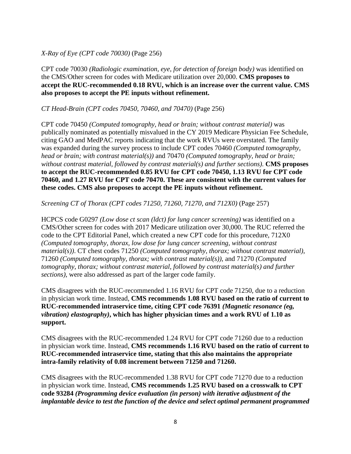### *X-Ray of Eye (CPT code 70030)* (Page 256)

CPT code 70030 *(Radiologic examination, eye, for detection of foreign body)* was identified on the CMS/Other screen for codes with Medicare utilization over 20,000. **CMS proposes to accept the RUC-recommended 0.18 RVU, which is an increase over the current value. CMS also proposes to accept the PE inputs without refinement.**

### *CT Head-Brain (CPT codes 70450, 70460, and 70470)* (Page 256)

CPT code 70450 *(Computed tomography, head or brain; without contrast material)* was publically nominated as potentially misvalued in the CY 2019 Medicare Physician Fee Schedule, citing GAO and MedPAC reports indicating that the work RVUs were overstated. The family was expanded during the survey process to include CPT codes 70460 *(Computed tomography, head or brain; with contrast material(s))* and 70470 *(Computed tomography, head or brain; without contrast material, followed by contrast material(s) and further sections)*. **CMS proposes to accept the RUC-recommended 0.85 RVU for CPT code 70450, 1.13 RVU for CPT code 70460, and 1.27 RVU for CPT code 70470. These are consistent with the current values for these codes. CMS also proposes to accept the PE inputs without refinement.**

### *Screening CT of Thorax (CPT codes 71250, 71260, 71270, and 712X0)* (Page 257)

HCPCS code G0297 *(Low dose ct scan (ldct) for lung cancer screening)* was identified on a CMS/Other screen for codes with 2017 Medicare utilization over 30,000. The RUC referred the code to the CPT Editorial Panel, which created a new CPT code for this procedure, 712X0 *(Computed tomography, thorax, low dose for lung cancer screening, without contrast material(s))*. CT chest codes 71250 *(Computed tomography, thorax; without contrast material)*, 71260 *(Computed tomography, thorax; with contrast material(s))*, and 71270 *(Computed tomography, thorax; without contrast material, followed by contrast material(s) and further sections)*, were also addressed as part of the larger code family.

CMS disagrees with the RUC-recommended 1.16 RVU for CPT code 71250, due to a reduction in physician work time. Instead, **CMS recommends 1.08 RVU based on the ratio of current to RUC-recommended intraservice time, citing CPT code 76391** *(Magnetic resonance (eg, vibration) elastography)***, which has higher physician times and a work RVU of 1.10 as support.**

CMS disagrees with the RUC-recommended 1.24 RVU for CPT code 71260 due to a reduction in physician work time. Instead, **CMS recommends 1.16 RVU based on the ratio of current to RUC-recommended intraservice time, stating that this also maintains the appropriate intra-family relativity of 0.08 increment between 71250 and 71260.**

CMS disagrees with the RUC-recommended 1.38 RVU for CPT code 71270 due to a reduction in physician work time. Instead, **CMS recommends 1.25 RVU based on a crosswalk to CPT code 93284** *(Programming device evaluation (in person) with iterative adjustment of the implantable device to test the function of the device and select optimal permanent programmed*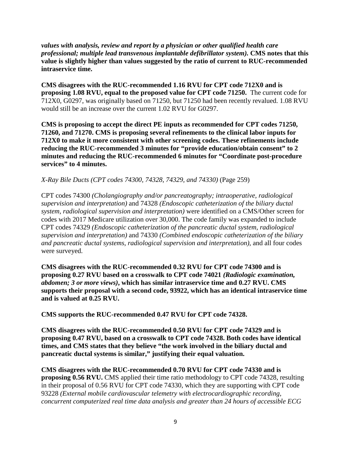*values with analysis, review and report by a physician or other qualified health care professional; multiple lead transvenous implantable defibrillator system).* **CMS notes that this value is slightly higher than values suggested by the ratio of current to RUC-recommended intraservice time.**

**CMS disagrees with the RUC-recommended 1.16 RVU for CPT code 712X0 and is proposing 1.08 RVU, equal to the proposed value for CPT code 71250.** The current code for 712X0, G0297, was originally based on 71250, but 71250 had been recently revalued. 1.08 RVU would still be an increase over the current 1.02 RVU for G0297.

**CMS is proposing to accept the direct PE inputs as recommended for CPT codes 71250, 71260, and 71270. CMS is proposing several refinements to the clinical labor inputs for 712X0 to make it more consistent with other screening codes. These refinements include reducing the RUC-recommended 3 minutes for "provide education/obtain consent" to 2 minutes and reducing the RUC-recommended 6 minutes for "Coordinate post-procedure services" to 4 minutes.**

*X-Ray Bile Ducts (CPT codes 74300, 74328, 74329, and 74330)* (Page 259)

CPT codes 74300 *(Cholangiography and/or pancreatography; intraoperative, radiological supervision and interpretation)* and 74328 *(Endoscopic catheterization of the biliary ductal system, radiological supervision and interpretation)* were identified on a CMS/Other screen for codes with 2017 Medicare utilization over 30,000. The code family was expanded to include CPT codes 74329 *(Endoscopic catheterization of the pancreatic ductal system, radiological supervision and interpretation)* and 74330 *(Combined endoscopic catheterization of the biliary and pancreatic ductal systems, radiological supervision and interpretation)*, and all four codes were surveyed.

**CMS disagrees with the RUC-recommended 0.32 RVU for CPT code 74300 and is proposing 0.27 RVU based on a crosswalk to CPT code 74021** *(Radiologic examination, abdomen; 3 or more views)***, which has similar intraservice time and 0.27 RVU. CMS supports their proposal with a second code, 93922, which has an identical intraservice time and is valued at 0.25 RVU.**

**CMS supports the RUC-recommended 0.47 RVU for CPT code 74328.**

**CMS disagrees with the RUC-recommended 0.50 RVU for CPT code 74329 and is proposing 0.47 RVU, based on a crosswalk to CPT code 74328. Both codes have identical times, and CMS states that they believe "the work involved in the biliary ductal and pancreatic ductal systems is similar," justifying their equal valuation.**

**CMS disagrees with the RUC-recommended 0.70 RVU for CPT code 74330 and is proposing 0.56 RVU.** CMS applied their time ratio methodology to CPT code 74328, resulting in their proposal of 0.56 RVU for CPT code 74330, which they are supporting with CPT code 93228 *(External mobile cardiovascular telemetry with electrocardiographic recording, concurrent computerized real time data analysis and greater than 24 hours of accessible ECG*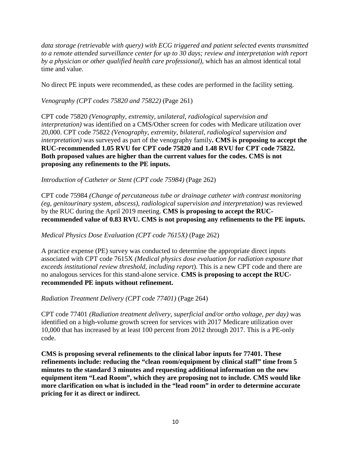*data storage (retrievable with query) with ECG triggered and patient selected events transmitted to a remote attended surveillance center for up to 30 days; review and interpretation with report by a physician or other qualified health care professional)*, which has an almost identical total time and value.

No direct PE inputs were recommended, as these codes are performed in the facility setting.

*Venography (CPT codes 75820 and 75822)* (Page 261)

CPT code 75820 *(Venography, extremity, unilateral, radiological supervision and interpretation)* was identified on a CMS/Other screen for codes with Medicare utilization over 20,000. CPT code 75822 *(Venography, extremity, bilateral, radiological supervision and interpretation)* was surveyed as part of the venography family**. CMS is proposing to accept the RUC-recommended 1.05 RVU for CPT code 75820 and 1.48 RVU for CPT code 75822. Both proposed values are higher than the current values for the codes. CMS is not proposing any refinements to the PE inputs.**

*Introduction of Catheter or Stent (CPT code 75984)* (Page 262)

CPT code 75984 *(Change of percutaneous tube or drainage catheter with contrast monitoring (eg, genitourinary system, abscess), radiological supervision and interpretation)* was reviewed by the RUC during the April 2019 meeting. **CMS is proposing to accept the RUCrecommended value of 0.83 RVU. CMS is not proposing any refinements to the PE inputs.**

*Medical Physics Dose Evaluation (CPT code 7615X)* (Page 262)

A practice expense (PE) survey was conducted to determine the appropriate direct inputs associated with CPT code 7615X *(Medical physics dose evaluation for radiation exposure that exceeds institutional review threshold, including report*). This is a new CPT code and there are no analogous services for this stand-alone service. **CMS is proposing to accept the RUCrecommended PE inputs without refinement.**

*Radiation Treatment Delivery (CPT code 77401)* (Page 264)

CPT code 77401 *(Radiation treatment delivery, superficial and/or ortho voltage, per day)* was identified on a high-volume growth screen for services with 2017 Medicare utilization over 10,000 that has increased by at least 100 percent from 2012 through 2017. This is a PE-only code.

**CMS is proposing several refinements to the clinical labor inputs for 77401. These refinements include: reducing the "clean room/equipment by clinical staff" time from 5 minutes to the standard 3 minutes and requesting additional information on the new equipment item "Lead Room", which they are proposing not to include. CMS would like more clarification on what is included in the "lead room" in order to determine accurate pricing for it as direct or indirect.**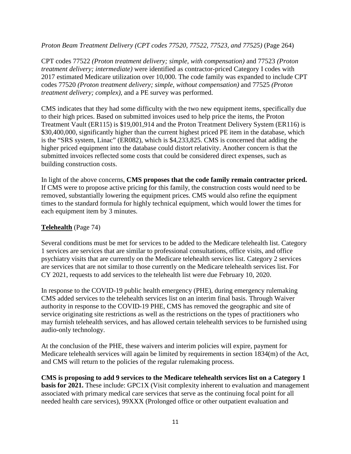*Proton Beam Treatment Delivery (CPT codes 77520, 77522, 77523, and 77525)* (Page 264)

CPT codes 77522 *(Proton treatment delivery; simple, with compensation)* and 77523 *(Proton treatment delivery; intermediate)* were identified as contractor-priced Category I codes with 2017 estimated Medicare utilization over 10,000. The code family was expanded to include CPT codes 77520 *(Proton treatment delivery; simple, without compensation)* and 77525 *(Proton treatment delivery; complex)*, and a PE survey was performed.

CMS indicates that they had some difficulty with the two new equipment items, specifically due to their high prices. Based on submitted invoices used to help price the items, the Proton Treatment Vault (ER115) is \$19,001,914 and the Proton Treatment Delivery System (ER116) is \$30,400,000, significantly higher than the current highest priced PE item in the database, which is the "SRS system, Linac" (ER082), which is \$4,233,825. CMS is concerned that adding the higher priced equipment into the database could distort relativity. Another concern is that the submitted invoices reflected some costs that could be considered direct expenses, such as building construction costs.

In light of the above concerns, **CMS proposes that the code family remain contractor priced.** If CMS were to propose active pricing for this family, the construction costs would need to be removed, substantially lowering the equipment prices. CMS would also refine the equipment times to the standard formula for highly technical equipment, which would lower the times for each equipment item by 3 minutes.

# **Telehealth** (Page 74)

Several conditions must be met for services to be added to the Medicare telehealth list. Category 1 services are services that are similar to professional consultations, office visits, and office psychiatry visits that are currently on the Medicare telehealth services list. Category 2 services are services that are not similar to those currently on the Medicare telehealth services list. For CY 2021, requests to add services to the telehealth list were due February 10, 2020.

In response to the COVID-19 public health emergency (PHE), during emergency rulemaking CMS added services to the telehealth services list on an interim final basis. Through Waiver authority in response to the COVID-19 PHE, CMS has removed the geographic and site of service originating site restrictions as well as the restrictions on the types of practitioners who may furnish telehealth services, and has allowed certain telehealth services to be furnished using audio-only technology.

At the conclusion of the PHE, these waivers and interim policies will expire, payment for Medicare telehealth services will again be limited by requirements in section 1834(m) of the Act, and CMS will return to the policies of the regular rulemaking process.

**CMS is proposing to add 9 services to the Medicare telehealth services list on a Category 1 basis for 2021.** These include: GPC1X (Visit complexity inherent to evaluation and management associated with primary medical care services that serve as the continuing focal point for all needed health care services), 99XXX (Prolonged office or other outpatient evaluation and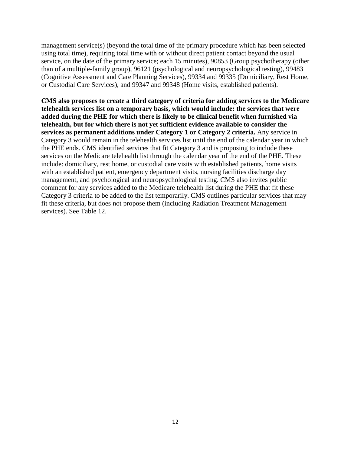management service(s) (beyond the total time of the primary procedure which has been selected using total time), requiring total time with or without direct patient contact beyond the usual service, on the date of the primary service; each 15 minutes), 90853 (Group psychotherapy (other than of a multiple-family group), 96121 (psychological and neuropsychological testing), 99483 (Cognitive Assessment and Care Planning Services), 99334 and 99335 (Domiciliary, Rest Home, or Custodial Care Services), and 99347 and 99348 (Home visits, established patients).

**CMS also proposes to create a third category of criteria for adding services to the Medicare telehealth services list on a temporary basis, which would include: the services that were added during the PHE for which there is likely to be clinical benefit when furnished via telehealth, but for which there is not yet sufficient evidence available to consider the services as permanent additions under Category 1 or Category 2 criteria.** Any service in Category 3 would remain in the telehealth services list until the end of the calendar year in which the PHE ends. CMS identified services that fit Category 3 and is proposing to include these services on the Medicare telehealth list through the calendar year of the end of the PHE. These include: domiciliary, rest home, or custodial care visits with established patients, home visits with an established patient, emergency department visits, nursing facilities discharge day management, and psychological and neuropsychological testing. CMS also invites public comment for any services added to the Medicare telehealth list during the PHE that fit these Category 3 criteria to be added to the list temporarily. CMS outlines particular services that may fit these criteria, but does not propose them (including Radiation Treatment Management services). See Table 12.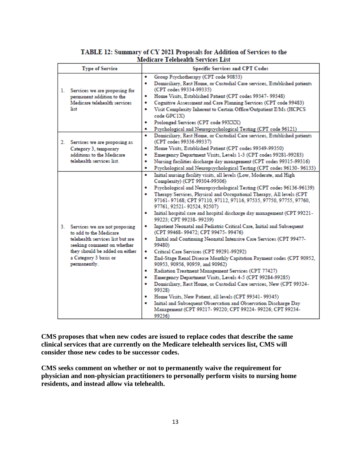| <b>Type of Service</b>                                                                                                                                                                                     | <b>Specific Services and CPT Codes</b>                                                                                                                                                                                                                                                                                                                                                                                                                                                                                                                                                                                                                                                                                                                                                                                                                                                                                                                                                                                                                                                                                                                                                                                                                                                             |  |  |
|------------------------------------------------------------------------------------------------------------------------------------------------------------------------------------------------------------|----------------------------------------------------------------------------------------------------------------------------------------------------------------------------------------------------------------------------------------------------------------------------------------------------------------------------------------------------------------------------------------------------------------------------------------------------------------------------------------------------------------------------------------------------------------------------------------------------------------------------------------------------------------------------------------------------------------------------------------------------------------------------------------------------------------------------------------------------------------------------------------------------------------------------------------------------------------------------------------------------------------------------------------------------------------------------------------------------------------------------------------------------------------------------------------------------------------------------------------------------------------------------------------------------|--|--|
| Services we are proposing for<br>1.<br>permanent addition to the<br>Medicare telehealth services<br>list                                                                                                   | Group Psychotherapy (CPT code 90853)<br>٠<br>Domiciliary, Rest Home, or Custodial Care services, Established patients<br>٠<br>(CPT codes 99334-99335)<br>Home Visits, Established Patient (CPT codes 99347- 99348)<br>٠<br>Cognitive Assessment and Care Planning Services (CPT code 99483)<br>٠<br>Visit Complexity Inherent to Certain Office/Outpatient E/Ms (HCPCS<br>٠<br>code GPC1X)<br>Prolonged Services (CPT code 99XXX)<br>۰<br>Psychological and Neuropsychological Testing (CPT code 96121)<br>۰                                                                                                                                                                                                                                                                                                                                                                                                                                                                                                                                                                                                                                                                                                                                                                                       |  |  |
| 2.<br>Services we are proposing as<br>Category 3, temporary<br>additions to the Medicare<br>telehealth services list.                                                                                      | Domiciliary, Rest Home, or Custodial Care services, Established patients<br>۰<br>(CPT codes 99336-99337)<br>Home Visits, Established Patient (CPT codes 99349-99350)<br>۰<br>Emergency Department Visits, Levels 1-3 (CPT codes 99281-99283)<br>٠<br>Nursing facilities discharge day management (CPT codes 99315-99316)<br>٠<br>Psychological and Neuropsychological Testing (CPT codes 96130-96133)<br>٠                                                                                                                                                                                                                                                                                                                                                                                                                                                                                                                                                                                                                                                                                                                                                                                                                                                                                         |  |  |
| Services we are not proposing<br>3.<br>to add to the Medicare<br>telehealth services list but are<br>seeking comment on whether<br>they should be added on either<br>a Category 3 basis or<br>permanently. | Initial nursing facility visits, all levels (Low, Moderate, and High<br>٠<br>Complexity) (CPT 99304-99306)<br>Psychological and Neuropsychological Testing (CPT codes 96136-96139)<br>٠<br>Therapy Services, Physical and Occupational Therapy, All levels (CPT<br>۰<br>97161-97168; CPT 97110, 97112, 97116, 97535, 97750, 97755, 97760,<br>97761, 92521-92524, 92507)<br>Initial hospital care and hospital discharge day management (CPT 99221-<br>۰<br>99223; CPT 99238-99239)<br>Inpatient Neonatal and Pediatric Critical Care, Initial and Subsequent<br>٠<br>(CPT 99468-99472; CPT 99475-99476)<br>Initial and Continuing Neonatal Intensive Care Services (CPT 99477-<br>۰<br>99480)<br>Critical Care Services (CPT 99291-99292)<br>٠<br>End-Stage Renal Disease Monthly Capitation Payment codes (CPT 90952,<br>۰<br>90953, 90956, 90959, and 90962)<br>Radiation Treatment Management Services (CPT 77427)<br>۰<br>Emergency Department Visits, Levels 4-5 (CPT 99284-99285)<br>٠<br>Domiciliary, Rest Home, or Custodial Care services, New (CPT 99324-<br>۰<br>99328)<br>Home Visits, New Patient, all levels (CPT 99341-99345)<br>۰<br>Initial and Subsequent Observation and Observation Discharge Day<br>۰<br>Management (CPT 99217- 99220; CPT 99224- 99226; CPT 99234-<br>99236) |  |  |

## TABLE 12: Summary of CY 2021 Proposals for Addition of Services to the Medicare Telehealth Services List

**CMS proposes that when new codes are issued to replace codes that describe the same clinical services that are currently on the Medicare telehealth services list, CMS will consider those new codes to be successor codes.**

**CMS seeks comment on whether or not to permanently waive the requirement for physician and non-physician practitioners to personally perform visits to nursing home residents, and instead allow via telehealth.**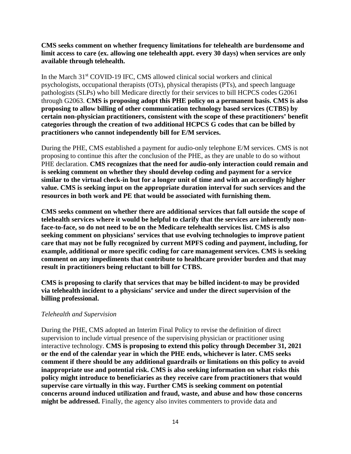**CMS seeks comment on whether frequency limitations for telehealth are burdensome and limit access to care (ex. allowing one telehealth appt. every 30 days) when services are only available through telehealth.** 

In the March 31st COVID-19 IFC, CMS allowed clinical social workers and clinical psychologists, occupational therapists (OTs), physical therapists (PTs), and speech language pathologists (SLPs) who bill Medicare directly for their services to bill HCPCS codes G2061 through G2063. **CMS is proposing adopt this PHE policy on a permanent basis. CMS is also proposing to allow billing of other communication technology based services (CTBS) by certain non-physician practitioners, consistent with the scope of these practitioners' benefit categories through the creation of two additional HCPCS G codes that can be billed by practitioners who cannot independently bill for E/M services.**

During the PHE, CMS established a payment for audio-only telephone E/M services. CMS is not proposing to continue this after the conclusion of the PHE, as they are unable to do so without PHE declaration. **CMS recognizes that the need for audio-only interaction could remain and is seeking comment on whether they should develop coding and payment for a service similar to the virtual check-in but for a longer unit of time and with an accordingly higher value. CMS is seeking input on the appropriate duration interval for such services and the resources in both work and PE that would be associated with furnishing them.**

**CMS seeks comment on whether there are additional services that fall outside the scope of telehealth services where it would be helpful to clarify that the services are inherently nonface-to-face, so do not need to be on the Medicare telehealth services list. CMS is also seeking comment on physicians' services that use evolving technologies to improve patient care that may not be fully recognized by current MPFS coding and payment, including, for example, additional or more specific coding for care management services. CMS is seeking comment on any impediments that contribute to healthcare provider burden and that may result in practitioners being reluctant to bill for CTBS.**

**CMS is proposing to clarify that services that may be billed incident-to may be provided via telehealth incident to a physicians' service and under the direct supervision of the billing professional.** 

### *Telehealth and Supervision*

During the PHE, CMS adopted an Interim Final Policy to revise the definition of direct supervision to include virtual presence of the supervising physician or practitioner using interactive technology. **CMS is proposing to extend this policy through December 31, 2021 or the end of the calendar year in which the PHE ends, whichever is later. CMS seeks comment if there should be any additional guardrails or limitations on this policy to avoid inappropriate use and potential risk. CMS is also seeking information on what risks this policy might introduce to beneficiaries as they receive care from practitioners that would supervise care virtually in this way. Further CMS is seeking comment on potential concerns around induced utilization and fraud, waste, and abuse and how those concerns might be addressed.** Finally, the agency also invites commenters to provide data and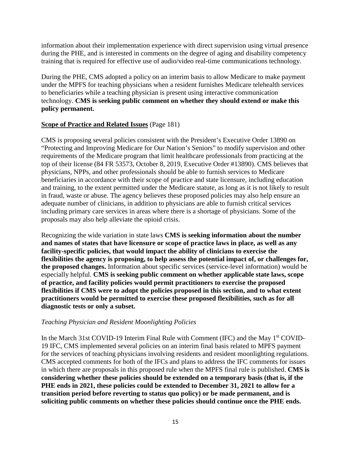information about their implementation experience with direct supervision using virtual presence during the PHE, and is interested in comments on the degree of aging and disability competency training that is required for effective use of audio/video real-time communications technology.

During the PHE, CMS adopted a policy on an interim basis to allow Medicare to make payment under the MPFS for teaching physicians when a resident furnishes Medicare telehealth services to beneficiaries while a teaching physician is present using interactive communication technology. **CMS is seeking public comment on whether they should extend or make this policy permanent.**

## **Scope of Practice and Related Issues** (Page 181)

CMS is proposing several policies consistent with the President's Executive Order 13890 on "Protecting and Improving Medicare for Our Nation's Seniors" to modify supervision and other requirements of the Medicare program that limit healthcare professionals from practicing at the top of their license (84 FR 53573, October 8, 2019, Executive Order #13890). CMS believes that physicians, NPPs, and other professionals should be able to furnish services to Medicare beneficiaries in accordance with their scope of practice and state licensure, including education and training, to the extent permitted under the Medicare statute, as long as it is not likely to result in fraud, waste or abuse. The agency believes these proposed policies may also help ensure an adequate number of clinicians, in addition to physicians are able to furnish critical services including primary care services in areas where there is a shortage of physicians. Some of the proposals may also help alleviate the opioid crisis.

Recognizing the wide variation in state laws **CMS is seeking information about the number and names of states that have licensure or scope of practice laws in place, as well as any facility-specific policies, that would impact the ability of clinicians to exercise the flexibilities the agency is proposing, to help assess the potential impact of, or challenges for, the proposed changes.** Information about specific services (service-level information) would be especially helpful. **CMS is seeking public comment on whether applicable state laws, scope of practice, and facility policies would permit practitioners to exercise the proposed flexibilities if CMS were to adopt the policies proposed in this section, and to what extent practitioners would be permitted to exercise these proposed flexibilities, such as for all diagnostic tests or only a subset.**

### *Teaching Physician and Resident Moonlighting Policies*

In the March 31st COVID-19 Interim Final Rule with Comment (IFC) and the May 1<sup>st</sup> COVID-19 IFC, CMS implemented several policies on an interim final basis related to MPFS payment for the services of teaching physicians involving residents and resident moonlighting regulations. CMS accepted comments for both of the IFCs and plans to address the IFC comments for issues in which there are proposals in this proposed rule when the MPFS final rule is published. **CMS is considering whether these policies should be extended on a temporary basis (that is, if the PHE ends in 2021, these policies could be extended to December 31, 2021 to allow for a transition period before reverting to status quo policy) or be made permanent, and is soliciting public comments on whether these policies should continue once the PHE ends.**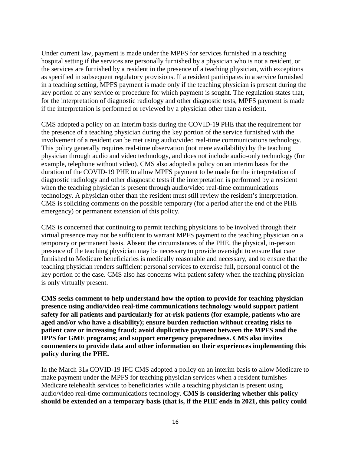Under current law, payment is made under the MPFS for services furnished in a teaching hospital setting if the services are personally furnished by a physician who is not a resident, or the services are furnished by a resident in the presence of a teaching physician, with exceptions as specified in subsequent regulatory provisions. If a resident participates in a service furnished in a teaching setting, MPFS payment is made only if the teaching physician is present during the key portion of any service or procedure for which payment is sought. The regulation states that, for the interpretation of diagnostic radiology and other diagnostic tests, MPFS payment is made if the interpretation is performed or reviewed by a physician other than a resident.

CMS adopted a policy on an interim basis during the COVID-19 PHE that the requirement for the presence of a teaching physician during the key portion of the service furnished with the involvement of a resident can be met using audio/video real-time communications technology. This policy generally requires real-time observation (not mere availability) by the teaching physician through audio and video technology, and does not include audio-only technology (for example, telephone without video). CMS also adopted a policy on an interim basis for the duration of the COVID-19 PHE to allow MPFS payment to be made for the interpretation of diagnostic radiology and other diagnostic tests if the interpretation is performed by a resident when the teaching physician is present through audio/video real-time communications technology. A physician other than the resident must still review the resident's interpretation. CMS is soliciting comments on the possible temporary (for a period after the end of the PHE emergency) or permanent extension of this policy.

CMS is concerned that continuing to permit teaching physicians to be involved through their virtual presence may not be sufficient to warrant MPFS payment to the teaching physician on a temporary or permanent basis. Absent the circumstances of the PHE, the physical, in-person presence of the teaching physician may be necessary to provide oversight to ensure that care furnished to Medicare beneficiaries is medically reasonable and necessary, and to ensure that the teaching physician renders sufficient personal services to exercise full, personal control of the key portion of the case. CMS also has concerns with patient safety when the teaching physician is only virtually present.

**CMS seeks comment to help understand how the option to provide for teaching physician presence using audio/video real-time communications technology would support patient safety for all patients and particularly for at-risk patients (for example, patients who are aged and/or who have a disability); ensure burden reduction without creating risks to patient care or increasing fraud; avoid duplicative payment between the MPFS and the IPPS for GME programs; and support emergency preparedness. CMS also invites commenters to provide data and other information on their experiences implementing this policy during the PHE.**

In the March 31st COVID-19 IFC CMS adopted a policy on an interim basis to allow Medicare to make payment under the MPFS for teaching physician services when a resident furnishes Medicare telehealth services to beneficiaries while a teaching physician is present using audio/video real-time communications technology. **CMS is considering whether this policy should be extended on a temporary basis (that is, if the PHE ends in 2021, this policy could**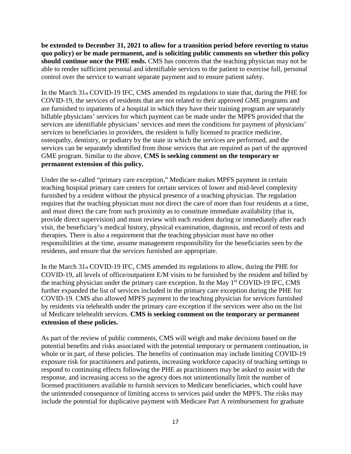**be extended to December 31, 2021 to allow for a transition period before reverting to status quo policy) or be made permanent, and is soliciting public comments on whether this policy should continue once the PHE ends.** CMS has concerns that the teaching physician may not be able to render sufficient personal and identifiable services to the patient to exercise full, personal control over the service to warrant separate payment and to ensure patient safety.

In the March  $31_{st}$  COVID-19 IFC, CMS amended its regulations to state that, during the PHE for COVID-19, the services of residents that are not related to their approved GME programs and are furnished to inpatients of a hospital in which they have their training program are separately billable physicians' services for which payment can be made under the MPFS provided that the services are identifiable physicians' services and meet the conditions for payment of physicians' services to beneficiaries in providers, the resident is fully licensed to practice medicine, osteopathy, dentistry, or podiatry by the state in which the services are performed, and the services can be separately identified from those services that are required as part of the approved GME program. Similar to the above, **CMS is seeking comment on the temporary or permanent extension of this policy.**

Under the so-called "primary care exception," Medicare makes MPFS payment in certain teaching hospital primary care centers for certain services of lower and mid-level complexity furnished by a resident without the physical presence of a teaching physician. The regulation requires that the teaching physician must not direct the care of more than four residents at a time, and must direct the care from such proximity as to constitute immediate availability (that is, provide direct supervision) and must review with each resident during or immediately after each visit, the beneficiary's medical history, physical examination, diagnosis, and record of tests and therapies. There is also a requirement that the teaching physician must have no other responsibilities at the time, assume management responsibility for the beneficiaries seen by the residents, and ensure that the services furnished are appropriate.

In the March 31st COVID-19 IFC, CMS amended its regulations to allow, during the PHE for COVID-19, all levels of office/outpatient E/M visits to be furnished by the resident and billed by the teaching physician under the primary care exception. In the May  $1<sup>st</sup>$  COVID-19 IFC, CMS further expanded the list of services included in the primary care exception during the PHE for COVID-19. CMS also allowed MPFS payment to the teaching physician for services furnished by residents via telehealth under the primary care exception if the services were also on the list of Medicare telehealth services. **CMS is seeking comment on the temporary or permanent extension of these policies.**

As part of the review of public comments, CMS will weigh and make decisions based on the potential benefits and risks associated with the potential temporary or permanent continuation, in whole or in part, of these policies. The benefits of continuation may include limiting COVID-19 exposure risk for practitioners and patients, increasing workforce capacity of teaching settings to respond to continuing effects following the PHE as practitioners may be asked to assist with the response, and increasing access so the agency does not unintentionally limit the number of licensed practitioners available to furnish services to Medicare beneficiaries, which could have the unintended consequence of limiting access to services paid under the MPFS. The risks may include the potential for duplicative payment with Medicare Part A reimbursement for graduate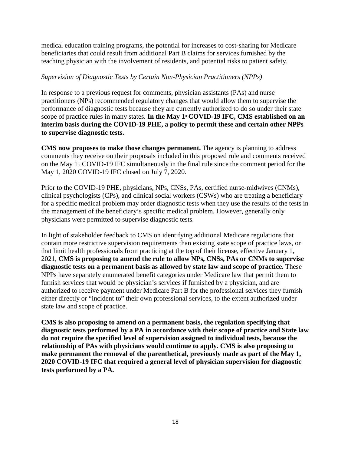medical education training programs, the potential for increases to cost-sharing for Medicare beneficiaries that could result from additional Part B claims for services furnished by the teaching physician with the involvement of residents, and potential risks to patient safety.

### *Supervision of Diagnostic Tests by Certain Non-Physician Practitioners (NPPs)*

In response to a previous request for comments, physician assistants (PAs) and nurse practitioners (NPs) recommended regulatory changes that would allow them to supervise the performance of diagnostic tests because they are currently authorized to do so under their state scope of practice rules in many states. In the May 1<sup>st</sup> COVID-19 IFC, CMS established on an **interim basis during the COVID-19 PHE, a policy to permit these and certain other NPPs to supervise diagnostic tests.**

**CMS now proposes to make those changes permanent.** The agency is planning to address comments they receive on their proposals included in this proposed rule and comments received on the May 1st COVID-19 IFC simultaneously in the final rule since the comment period for the May 1, 2020 COVID-19 IFC closed on July 7, 2020.

Prior to the COVID-19 PHE, physicians, NPs, CNSs, PAs, certified nurse-midwives (CNMs), clinical psychologists (CPs), and clinical social workers (CSWs) who are treating a beneficiary for a specific medical problem may order diagnostic tests when they use the results of the tests in the management of the beneficiary's specific medical problem. However, generally only physicians were permitted to supervise diagnostic tests.

In light of stakeholder feedback to CMS on identifying additional Medicare regulations that contain more restrictive supervision requirements than existing state scope of practice laws, or that limit health professionals from practicing at the top of their license, effective January 1, 2021, **CMS is proposing to amend the rule to allow NPs, CNSs, PAs or CNMs to supervise diagnostic tests on a permanent basis as allowed by state law and scope of practice.** These NPPs have separately enumerated benefit categories under Medicare law that permit them to furnish services that would be physician's services if furnished by a physician, and are authorized to receive payment under Medicare Part B for the professional services they furnish either directly or "incident to" their own professional services, to the extent authorized under state law and scope of practice.

**CMS is also proposing to amend on a permanent basis, the regulation specifying that diagnostic tests performed by a PA in accordance with their scope of practice and State law do not require the specified level of supervision assigned to individual tests, because the relationship of PAs with physicians would continue to apply. CMS is also proposing to make permanent the removal of the parenthetical, previously made as part of the May 1, 2020 COVID-19 IFC that required a general level of physician supervision for diagnostic tests performed by a PA.**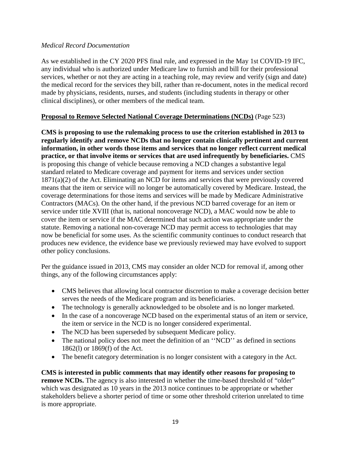### *Medical Record Documentation*

As we established in the CY 2020 PFS final rule, and expressed in the May 1st COVID-19 IFC, any individual who is authorized under Medicare law to furnish and bill for their professional services, whether or not they are acting in a teaching role, may review and verify (sign and date) the medical record for the services they bill, rather than re-document, notes in the medical record made by physicians, residents, nurses, and students (including students in therapy or other clinical disciplines), or other members of the medical team.

## **Proposal to Remove Selected National Coverage Determinations (NCDs)** (Page 523)

**CMS is proposing to use the rulemaking process to use the criterion established in 2013 to regularly identify and remove NCDs that no longer contain clinically pertinent and current information, in other words those items and services that no longer reflect current medical practice, or that involve items or services that are used infrequently by beneficiaries.** CMS is proposing this change of vehicle because removing a NCD changes a substantive legal standard related to Medicare coverage and payment for items and services under section 1871(a)(2) of the Act. Eliminating an NCD for items and services that were previously covered means that the item or service will no longer be automatically covered by Medicare. Instead, the coverage determinations for those items and services will be made by Medicare Administrative Contractors (MACs). On the other hand, if the previous NCD barred coverage for an item or service under title XVIII (that is, national noncoverage NCD), a MAC would now be able to cover the item or service if the MAC determined that such action was appropriate under the statute. Removing a national non-coverage NCD may permit access to technologies that may now be beneficial for some uses. As the scientific community continues to conduct research that produces new evidence, the evidence base we previously reviewed may have evolved to support other policy conclusions.

Per the guidance issued in 2013, CMS may consider an older NCD for removal if, among other things, any of the following circumstances apply:

- CMS believes that allowing local contractor discretion to make a coverage decision better serves the needs of the Medicare program and its beneficiaries.
- The technology is generally acknowledged to be obsolete and is no longer marketed.
- In the case of a noncoverage NCD based on the experimental status of an item or service, the item or service in the NCD is no longer considered experimental.
- The NCD has been superseded by subsequent Medicare policy.
- The national policy does not meet the definition of an "NCD" as defined in sections 1862(l) or 1869(f) of the Act.
- The benefit category determination is no longer consistent with a category in the Act.

**CMS is interested in public comments that may identify other reasons for proposing to remove NCDs.** The agency is also interested in whether the time-based threshold of "older" which was designated as 10 years in the 2013 notice continues to be appropriate or whether stakeholders believe a shorter period of time or some other threshold criterion unrelated to time is more appropriate.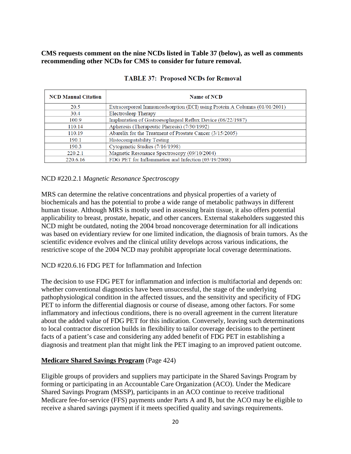## **CMS requests comment on the nine NCDs listed in Table 37 (below), as well as comments recommending other NCDs for CMS to consider for future removal.**

| <b>NCD Manual Citation</b> | <b>Name of NCD</b>                                                         |
|----------------------------|----------------------------------------------------------------------------|
| 20.5                       | Extracorporeal Immunoadsorption (ECI) using Protein A Columns (01/01/2001) |
| 30.4                       | Electrosleep Therapy                                                       |
| 100.9                      | Implantation of Gastroesophageal Reflux Device (06/22/1987)                |
| 110.14                     | Apheresis (Therapeutic Pheresis) (7/30/1992)                               |
| 110.19                     | Abarelix for the Treatment of Prostate Cancer (3/15/2005)                  |
| 190.1                      | <b>Histocompatability Testing</b>                                          |
| 190.3                      | Cytogenetic Studies (7/16/1998)                                            |
| 220.2.1                    | Magnetic Resonance Spectroscopy (09/10/2004)                               |
| 220.6.16                   | FDG PET for Inflammation and Infection (03/19/2008)                        |

#### **TABLE 37: Proposed NCDs for Removal**

### NCD #220.2.1 *Magnetic Resonance Spectroscopy*

MRS can determine the relative concentrations and physical properties of a variety of biochemicals and has the potential to probe a wide range of metabolic pathways in different human tissue. Although MRS is mostly used in assessing brain tissue, it also offers potential applicability to breast, prostate, hepatic, and other cancers. External stakeholders suggested this NCD might be outdated, noting the 2004 broad noncoverage determination for all indications was based on evidentiary review for one limited indication, the diagnosis of brain tumors. As the scientific evidence evolves and the clinical utility develops across various indications, the restrictive scope of the 2004 NCD may prohibit appropriate local coverage determinations.

### NCD #220.6.16 FDG PET for Inflammation and Infection

The decision to use FDG PET for inflammation and infection is multifactorial and depends on: whether conventional diagnostics have been unsuccessful, the stage of the underlying pathophysiological condition in the affected tissues, and the sensitivity and specificity of FDG PET to inform the differential diagnosis or course of disease, among other factors. For some inflammatory and infectious conditions, there is no overall agreement in the current literature about the added value of FDG PET for this indication. Conversely, leaving such determinations to local contractor discretion builds in flexibility to tailor coverage decisions to the pertinent facts of a patient's case and considering any added benefit of FDG PET in establishing a diagnosis and treatment plan that might link the PET imaging to an improved patient outcome.

### **Medicare Shared Savings Program** (Page 424)

Eligible groups of providers and suppliers may participate in the Shared Savings Program by forming or participating in an Accountable Care Organization (ACO). Under the Medicare Shared Savings Program (MSSP), participants in an ACO continue to receive traditional Medicare fee-for-service (FFS) payments under Parts A and B, but the ACO may be eligible to receive a shared savings payment if it meets specified quality and savings requirements.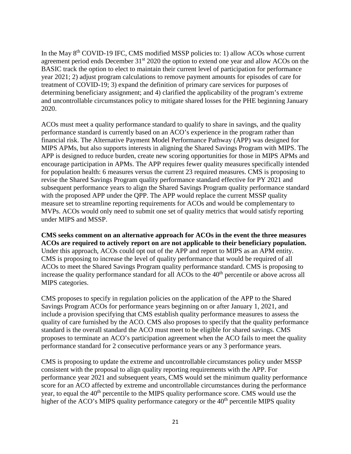In the May 8<sup>th</sup> COVID-19 IFC, CMS modified MSSP policies to: 1) allow ACOs whose current agreement period ends December 31<sup>st</sup> 2020 the option to extend one year and allow ACOs on the BASIC track the option to elect to maintain their current level of participation for performance year 2021; 2) adjust program calculations to remove payment amounts for episodes of care for treatment of COVID-19; 3) expand the definition of primary care services for purposes of determining beneficiary assignment; and 4) clarified the applicability of the program's extreme and uncontrollable circumstances policy to mitigate shared losses for the PHE beginning January 2020.

ACOs must meet a quality performance standard to qualify to share in savings, and the quality performance standard is currently based on an ACO's experience in the program rather than financial risk. The Alternative Payment Model Performance Pathway (APP) was designed for MIPS APMs, but also supports interests in aligning the Shared Savings Program with MIPS. The APP is designed to reduce burden, create new scoring opportunities for those in MIPS APMs and encourage participation in APMs. The APP requires fewer quality measures specifically intended for population health: 6 measures versus the current 23 required measures. CMS is proposing to revise the Shared Savings Program quality performance standard effective for PY 2021 and subsequent performance years to align the Shared Savings Program quality performance standard with the proposed APP under the QPP. The APP would replace the current MSSP quality measure set to streamline reporting requirements for ACOs and would be complementary to MVPs. ACOs would only need to submit one set of quality metrics that would satisfy reporting under MIPS and MSSP.

**CMS seeks comment on an alternative approach for ACOs in the event the three measures ACOs are required to actively report on are not applicable to their beneficiary population.**  Under this approach, ACOs could opt out of the APP and report to MIPS as an APM entity. CMS is proposing to increase the level of quality performance that would be required of all ACOs to meet the Shared Savings Program quality performance standard. CMS is proposing to increase the quality performance standard for all ACOs to the 40<sup>th</sup> percentile or above across all MIPS categories.

CMS proposes to specify in regulation policies on the application of the APP to the Shared Savings Program ACOs for performance years beginning on or after January 1, 2021, and include a provision specifying that CMS establish quality performance measures to assess the quality of care furnished by the ACO. CMS also proposes to specify that the quality performance standard is the overall standard the ACO must meet to be eligible for shared savings. CMS proposes to terminate an ACO's participation agreement when the ACO fails to meet the quality performance standard for 2 consecutive performance years or any 3 performance years.

CMS is proposing to update the extreme and uncontrollable circumstances policy under MSSP consistent with the proposal to align quality reporting requirements with the APP. For performance year 2021 and subsequent years, CMS would set the minimum quality performance score for an ACO affected by extreme and uncontrollable circumstances during the performance year, to equal the 40<sup>th</sup> percentile to the MIPS quality performance score. CMS would use the higher of the ACO's MIPS quality performance category or the  $40<sup>th</sup>$  percentile MIPS quality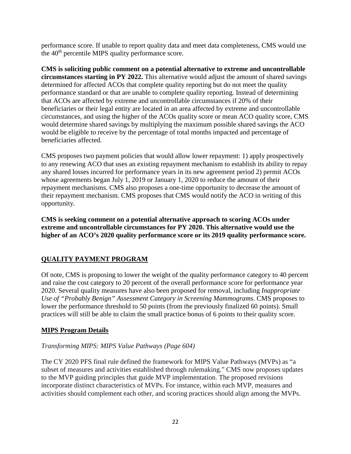performance score. If unable to report quality data and meet data completeness, CMS would use the 40th percentile MIPS quality performance score.

**CMS is soliciting public comment on a potential alternative to extreme and uncontrollable circumstances starting in PY 2022.** This alternative would adjust the amount of shared savings determined for affected ACOs that complete quality reporting but do not meet the quality performance standard or that are unable to complete quality reporting. Instead of determining that ACOs are affected by extreme and uncontrollable circumstances if 20% of their beneficiaries or their legal entity are located in an area affected by extreme and uncontrollable circumstances, and using the higher of the ACOs quality score or mean ACO quality score, CMS would determine shared savings by multiplying the maximum possible shared savings the ACO would be eligible to receive by the percentage of total months impacted and percentage of beneficiaries affected.

CMS proposes two payment policies that would allow lower repayment: 1) apply prospectively to any renewing ACO that uses an existing repayment mechanism to establish its ability to repay any shared losses incurred for performance years in its new agreement period 2) permit ACOs whose agreements began July 1, 2019 or January 1, 2020 to reduce the amount of their repayment mechanisms. CMS also proposes a one-time opportunity to decrease the amount of their repayment mechanism. CMS proposes that CMS would notify the ACO in writing of this opportunity.

**CMS is seeking comment on a potential alternative approach to scoring ACOs under extreme and uncontrollable circumstances for PY 2020. This alternative would use the higher of an ACO's 2020 quality performance score or its 2019 quality performance score.**

# **QUALITY PAYMENT PROGRAM**

Of note, CMS is proposing to lower the weight of the quality performance category to 40 percent and raise the cost category to 20 percent of the overall performance score for performance year 2020. Several quality measures have also been proposed for removal, including *Inappropriate Use of "Probably Benign" Assessment Category in Screening Mammograms*. CMS proposes to lower the performance threshold to 50 points (from the previously finalized 60 points). Small practices will still be able to claim the small practice bonus of 6 points to their quality score.

## **MIPS Program Details**

### *Transforming MIPS: MIPS Value Pathways (Page 604)*

The CY 2020 PFS final rule defined the framework for MIPS Value Pathways (MVPs) as "a subset of measures and activities established through rulemaking." CMS now proposes updates to the MVP guiding principles that guide MVP implementation. The proposed revisions incorporate distinct characteristics of MVPs. For instance, within each MVP, measures and activities should complement each other, and scoring practices should align among the MVPs.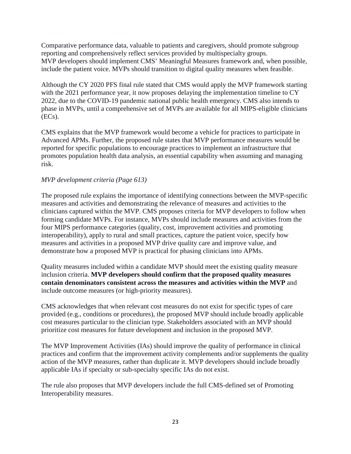Comparative performance data, valuable to patients and caregivers, should promote subgroup reporting and comprehensively reflect services provided by multispecialty groups. MVP developers should implement CMS' Meaningful Measures framework and, when possible, include the patient voice. MVPs should transition to digital quality measures when feasible.

Although the CY 2020 PFS final rule stated that CMS would apply the MVP framework starting with the 2021 performance year, it now proposes delaying the implementation timeline to CY 2022, due to the COVID-19 pandemic national public health emergency. CMS also intends to phase in MVPs, until a comprehensive set of MVPs are available for all MIPS-eligible clinicians (ECs).

CMS explains that the MVP framework would become a vehicle for practices to participate in Advanced APMs. Further, the proposed rule states that MVP performance measures would be reported for specific populations to encourage practices to implement an infrastructure that promotes population health data analysis, an essential capability when assuming and managing risk.

## *MVP development criteria (Page 613)*

The proposed rule explains the importance of identifying connections between the MVP-specific measures and activities and demonstrating the relevance of measures and activities to the clinicians captured within the MVP. CMS proposes criteria for MVP developers to follow when forming candidate MVPs. For instance, MVPs should include measures and activities from the four MIPS performance categories (quality, cost, improvement activities and promoting interoperability), apply to rural and small practices, capture the patient voice, specify how measures and activities in a proposed MVP drive quality care and improve value, and demonstrate how a proposed MVP is practical for phasing clinicians into APMs.

Quality measures included within a candidate MVP should meet the existing quality measure inclusion criteria. **MVP developers should confirm that the proposed quality measures contain denominators consistent across the measures and activities within the MVP** and include outcome measures (or high-priority measures).

CMS acknowledges that when relevant cost measures do not exist for specific types of care provided (e.g., conditions or procedures), the proposed MVP should include broadly applicable cost measures particular to the clinician type. Stakeholders associated with an MVP should prioritize cost measures for future development and inclusion in the proposed MVP.

The MVP Improvement Activities (IAs) should improve the quality of performance in clinical practices and confirm that the improvement activity complements and/or supplements the quality action of the MVP measures, rather than duplicate it. MVP developers should include broadly applicable IAs if specialty or sub-specialty specific IAs do not exist.

The rule also proposes that MVP developers include the full CMS-defined set of Promoting Interoperability measures.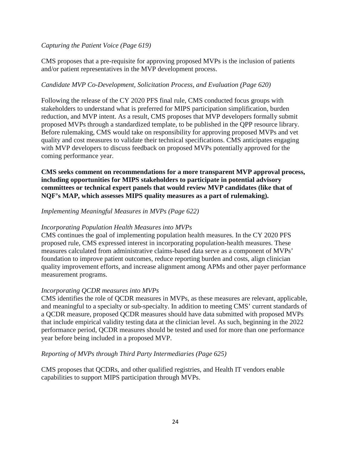### *Capturing the Patient Voice (Page 619)*

CMS proposes that a pre-requisite for approving proposed MVPs is the inclusion of patients and/or patient representatives in the MVP development process.

## *Candidate MVP Co-Development, Solicitation Process, and Evaluation (Page 620)*

Following the release of the CY 2020 PFS final rule, CMS conducted focus groups with stakeholders to understand what is preferred for MIPS participation simplification, burden reduction, and MVP intent. As a result, CMS proposes that MVP developers formally submit proposed MVPs through a standardized template, to be published in the QPP resource library. Before rulemaking, CMS would take on responsibility for approving proposed MVPs and vet quality and cost measures to validate their technical specifications. CMS anticipates engaging with MVP developers to discuss feedback on proposed MVPs potentially approved for the coming performance year.

**CMS seeks comment on recommendations for a more transparent MVP approval process, including opportunities for MIPS stakeholders to participate in potential advisory committees or technical expert panels that would review MVP candidates (like that of NQF's MAP, which assesses MIPS quality measures as a part of rulemaking).**

### *Implementing Meaningful Measures in MVPs (Page 622)*

## *Incorporating Population Health Measures into MVPs*

CMS continues the goal of implementing population health measures. In the CY 2020 PFS proposed rule, CMS expressed interest in incorporating population-health measures. These measures calculated from administrative claims-based data serve as a component of MVPs' foundation to improve patient outcomes, reduce reporting burden and costs, align clinician quality improvement efforts, and increase alignment among APMs and other payer performance measurement programs.

### *Incorporating QCDR measures into MVPs*

CMS identifies the role of QCDR measures in MVPs, as these measures are relevant, applicable, and meaningful to a specialty or sub-specialty. In addition to meeting CMS' current standards of a QCDR measure, proposed QCDR measures should have data submitted with proposed MVPs that include empirical validity testing data at the clinician level. As such, beginning in the 2022 performance period, QCDR measures should be tested and used for more than one performance year before being included in a proposed MVP.

### *Reporting of MVPs through Third Party Intermediaries (Page 625)*

CMS proposes that QCDRs, and other qualified registries, and Health IT vendors enable capabilities to support MIPS participation through MVPs.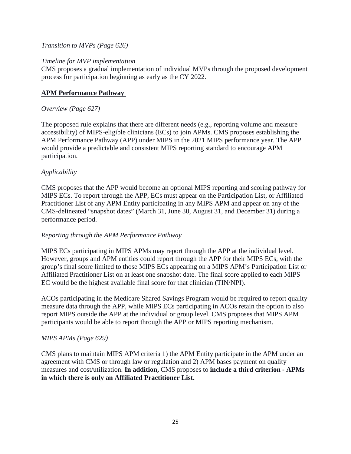## *Transition to MVPs (Page 626)*

### *Timeline for MVP implementation*

CMS proposes a gradual implementation of individual MVPs through the proposed development process for participation beginning as early as the CY 2022.

## **APM Performance Pathway**

### *Overview (Page 627)*

The proposed rule explains that there are different needs (e.g., reporting volume and measure accessibility) of MIPS-eligible clinicians (ECs) to join APMs. CMS proposes establishing the APM Performance Pathway (APP) under MIPS in the 2021 MIPS performance year. The APP would provide a predictable and consistent MIPS reporting standard to encourage APM participation.

### *Applicability*

CMS proposes that the APP would become an optional MIPS reporting and scoring pathway for MIPS ECs. To report through the APP, ECs must appear on the Participation List, or Affiliated Practitioner List of any APM Entity participating in any MIPS APM and appear on any of the CMS-delineated "snapshot dates" (March 31, June 30, August 31, and December 31) during a performance period.

### *Reporting through the APM Performance Pathway*

MIPS ECs participating in MIPS APMs may report through the APP at the individual level. However, groups and APM entities could report through the APP for their MIPS ECs, with the group's final score limited to those MIPS ECs appearing on a MIPS APM's Participation List or Affiliated Practitioner List on at least one snapshot date. The final score applied to each MIPS EC would be the highest available final score for that clinician (TIN/NPI).

ACOs participating in the Medicare Shared Savings Program would be required to report quality measure data through the APP, while MIPS ECs participating in ACOs retain the option to also report MIPS outside the APP at the individual or group level. CMS proposes that MIPS APM participants would be able to report through the APP or MIPS reporting mechanism.

## *MIPS APMs (Page 629)*

CMS plans to maintain MIPS APM criteria 1) the APM Entity participate in the APM under an agreement with CMS or through law or regulation and 2) APM bases payment on quality measures and cost/utilization. **In addition,** CMS proposes to **include a third criterion - APMs in which there is only an Affiliated Practitioner List.**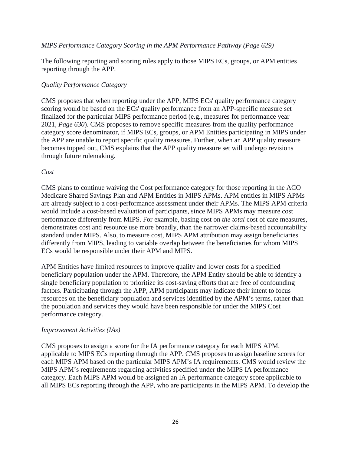### *MIPS Performance Category Scoring in the APM Performance Pathway (Page 629)*

The following reporting and scoring rules apply to those MIPS ECs, groups, or APM entities reporting through the APP.

### *Quality Performance Category*

CMS proposes that when reporting under the APP, MIPS ECs' quality performance category scoring would be based on the ECs' quality performance from an APP-specific measure set finalized for the particular MIPS performance period (e.g., measures for performance year 2021, *Page 630*). CMS proposes to remove specific measures from the quality performance category score denominator, if MIPS ECs, groups, or APM Entities participating in MIPS under the APP are unable to report specific quality measures. Further, when an APP quality measure becomes topped out, CMS explains that the APP quality measure set will undergo revisions through future rulemaking.

### *Cost*

CMS plans to continue waiving the Cost performance category for those reporting in the ACO Medicare Shared Savings Plan and APM Entities in MIPS APMs. APM entities in MIPS APMs are already subject to a cost-performance assessment under their APMs. The MIPS APM criteria would include a cost-based evaluation of participants, since MIPS APMs may measure cost performance differently from MIPS. For example, basing cost on *the total* cost of care measures, demonstrates cost and resource use more broadly, than the narrower claims-based accountability standard under MIPS. Also, to measure cost, MIPS APM attribution may assign beneficiaries differently from MIPS, leading to variable overlap between the beneficiaries for whom MIPS ECs would be responsible under their APM and MIPS.

APM Entities have limited resources to improve quality and lower costs for a specified beneficiary population under the APM. Therefore, the APM Entity should be able to identify a single beneficiary population to prioritize its cost-saving efforts that are free of confounding factors. Participating through the APP, APM participants may indicate their intent to focus resources on the beneficiary population and services identified by the APM's terms, rather than the population and services they would have been responsible for under the MIPS Cost performance category.

### *Improvement Activities (IAs)*

CMS proposes to assign a score for the IA performance category for each MIPS APM, applicable to MIPS ECs reporting through the APP. CMS proposes to assign baseline scores for each MIPS APM based on the particular MIPS APM's IA requirements. CMS would review the MIPS APM's requirements regarding activities specified under the MIPS IA performance category. Each MIPS APM would be assigned an IA performance category score applicable to all MIPS ECs reporting through the APP, who are participants in the MIPS APM. To develop the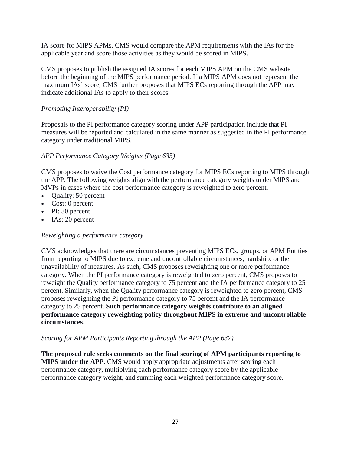IA score for MIPS APMs, CMS would compare the APM requirements with the IAs for the applicable year and score those activities as they would be scored in MIPS.

CMS proposes to publish the assigned IA scores for each MIPS APM on the CMS website before the beginning of the MIPS performance period. If a MIPS APM does not represent the maximum IAs' score, CMS further proposes that MIPS ECs reporting through the APP may indicate additional IAs to apply to their scores.

## *Promoting Interoperability (PI)*

Proposals to the PI performance category scoring under APP participation include that PI measures will be reported and calculated in the same manner as suggested in the PI performance category under traditional MIPS.

## *APP Performance Category Weights (Page 635)*

CMS proposes to waive the Cost performance category for MIPS ECs reporting to MIPS through the APP. The following weights align with the performance category weights under MIPS and MVPs in cases where the cost performance category is reweighted to zero percent.

- Quality: 50 percent
- Cost: 0 percent
- PI: 30 percent
- IAs: 20 percent

### *Reweighting a performance category*

CMS acknowledges that there are circumstances preventing MIPS ECs, groups, or APM Entities from reporting to MIPS due to extreme and uncontrollable circumstances, hardship, or the unavailability of measures. As such, CMS proposes reweighting one or more performance category. When the PI performance category is reweighted to zero percent, CMS proposes to reweight the Quality performance category to 75 percent and the IA performance category to 25 percent. Similarly, when the Quality performance category is reweighted to zero percent, CMS proposes reweighting the PI performance category to 75 percent and the IA performance category to 25 percent. **Such performance category weights contribute to an aligned performance category reweighting policy throughout MIPS in extreme and uncontrollable circumstances**.

### *Scoring for APM Participants Reporting through the APP (Page 637)*

**The proposed rule seeks comments on the final scoring of APM participants reporting to MIPS under the APP.** CMS would apply appropriate adjustments after scoring each performance category, multiplying each performance category score by the applicable performance category weight, and summing each weighted performance category score.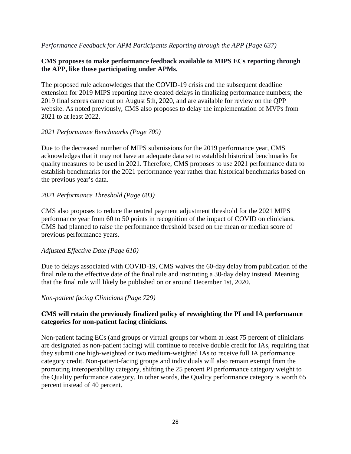## *Performance Feedback for APM Participants Reporting through the APP (Page 637)*

### **CMS proposes to make performance feedback available to MIPS ECs reporting through the APP, like those participating under APMs.**

The proposed rule acknowledges that the COVID-19 crisis and the subsequent deadline extension for 2019 MIPS reporting have created delays in finalizing performance numbers; the 2019 final scores came out on August 5th, 2020, and are available for review on the QPP website. As noted previously, CMS also proposes to delay the implementation of MVPs from 2021 to at least 2022.

### *2021 Performance Benchmarks (Page 709)*

Due to the decreased number of MIPS submissions for the 2019 performance year, CMS acknowledges that it may not have an adequate data set to establish historical benchmarks for quality measures to be used in 2021. Therefore, CMS proposes to use 2021 performance data to establish benchmarks for the 2021 performance year rather than historical benchmarks based on the previous year's data.

## *2021 Performance Threshold (Page 603)*

CMS also proposes to reduce the neutral payment adjustment threshold for the 2021 MIPS performance year from 60 to 50 points in recognition of the impact of COVID on clinicians. CMS had planned to raise the performance threshold based on the mean or median score of previous performance years.

### *Adjusted Effective Date (Page 610)*

Due to delays associated with COVID-19, CMS waives the 60-day delay from publication of the final rule to the effective date of the final rule and instituting a 30-day delay instead. Meaning that the final rule will likely be published on or around December 1st, 2020.

### *Non-patient facing Clinicians (Page 729)*

## **CMS will retain the previously finalized policy of reweighting the PI and IA performance categories for non-patient facing clinicians.**

Non-patient facing ECs (and groups or virtual groups for whom at least 75 percent of clinicians are designated as non-patient facing) will continue to receive double credit for IAs, requiring that they submit one high-weighted or two medium-weighted IAs to receive full IA performance category credit. Non-patient-facing groups and individuals will also remain exempt from the promoting interoperability category, shifting the 25 percent PI performance category weight to the Quality performance category. In other words, the Quality performance category is worth 65 percent instead of 40 percent.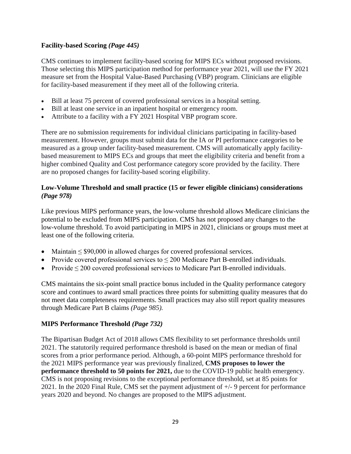# **Facility-based Scoring** *(Page 445)*

CMS continues to implement facility-based scoring for MIPS ECs without proposed revisions. Those selecting this MIPS participation method for performance year 2021, will use the FY 2021 measure set from the Hospital Value-Based Purchasing (VBP) program. Clinicians are eligible for facility-based measurement if they meet all of the following criteria.

- Bill at least 75 percent of covered professional services in a hospital setting.
- Bill at least one service in an inpatient hospital or emergency room.
- Attribute to a facility with a FY 2021 Hospital VBP program score.

There are no submission requirements for individual clinicians participating in facility-based measurement. However, groups must submit data for the IA or PI performance categories to be measured as a group under facility-based measurement. CMS will automatically apply facilitybased measurement to MIPS ECs and groups that meet the eligibility criteria and benefit from a higher combined Quality and Cost performance category score provided by the facility. There are no proposed changes for facility-based scoring eligibility.

## **Low-Volume Threshold and small practice (15 or fewer eligible clinicians) considerations**  *(Page 978)*

Like previous MIPS performance years, the low-volume threshold allows Medicare clinicians the potential to be excluded from MIPS participation. CMS has not proposed any changes to the low-volume threshold. To avoid participating in MIPS in 2021, clinicians or groups must meet at least one of the following criteria.

- Maintain ≤ \$90,000 in allowed charges for covered professional services.
- Provide covered professional services to  $\leq$  200 Medicare Part B-enrolled individuals.
- Provide  $\leq$  200 covered professional services to Medicare Part B-enrolled individuals.

CMS maintains the six-point small practice bonus included in the Quality performance category score and continues to award small practices three points for submitting quality measures that do not meet data completeness requirements. Small practices may also still report quality measures through Medicare Part B claims *(Page 985).*

## **MIPS Performance Threshold** *(Page 732)*

The Bipartisan Budget Act of 2018 allows CMS flexibility to set performance thresholds until 2021. The statutorily required performance threshold is based on the mean or median of final scores from a prior performance period. Although, a 60-point MIPS performance threshold for the 2021 MIPS performance year was previously finalized, **CMS proposes to lower the performance threshold to 50 points for 2021,** due to the COVID-19 public health emergency. CMS is not proposing revisions to the exceptional performance threshold, set at 85 points for 2021. In the 2020 Final Rule, CMS set the payment adjustment of +/- 9 percent for performance years 2020 and beyond. No changes are proposed to the MIPS adjustment.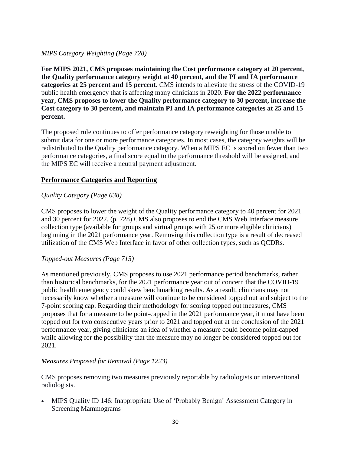## *MIPS Category Weighting (Page 728)*

**For MIPS 2021, CMS proposes maintaining the Cost performance category at 20 percent, the Quality performance category weight at 40 percent, and the PI and IA performance categories at 25 percent and 15 percent.** CMS intends to alleviate the stress of the COVID-19 public health emergency that is affecting many clinicians in 2020. **For the 2022 performance year, CMS proposes to lower the Quality performance category to 30 percent, increase the Cost category to 30 percent, and maintain PI and IA performance categories at 25 and 15 percent.**

The proposed rule continues to offer performance category reweighting for those unable to submit data for one or more performance categories. In most cases, the category weights will be redistributed to the Quality performance category. When a MIPS EC is scored on fewer than two performance categories, a final score equal to the performance threshold will be assigned, and the MIPS EC will receive a neutral payment adjustment.

## **Performance Categories and Reporting**

# *Quality Category (Page 638)*

CMS proposes to lower the weight of the Quality performance category to 40 percent for 2021 and 30 percent for 2022. (p. 728) CMS also proposes to end the CMS Web Interface measure collection type (available for groups and virtual groups with 25 or more eligible clinicians) beginning in the 2021 performance year. Removing this collection type is a result of decreased utilization of the CMS Web Interface in favor of other collection types, such as QCDRs.

## *Topped-out Measures (Page 715)*

As mentioned previously, CMS proposes to use 2021 performance period benchmarks, rather than historical benchmarks, for the 2021 performance year out of concern that the COVID-19 public health emergency could skew benchmarking results. As a result, clinicians may not necessarily know whether a measure will continue to be considered topped out and subject to the 7-point scoring cap. Regarding their methodology for scoring topped out measures, CMS proposes that for a measure to be point-capped in the 2021 performance year, it must have been topped out for two consecutive years prior to 2021 and topped out at the conclusion of the 2021 performance year, giving clinicians an idea of whether a measure could become point-capped while allowing for the possibility that the measure may no longer be considered topped out for 2021.

## *Measures Proposed for Removal (Page 1223)*

CMS proposes removing two measures previously reportable by radiologists or interventional radiologists.

• MIPS Quality ID 146: Inappropriate Use of 'Probably Benign' Assessment Category in Screening Mammograms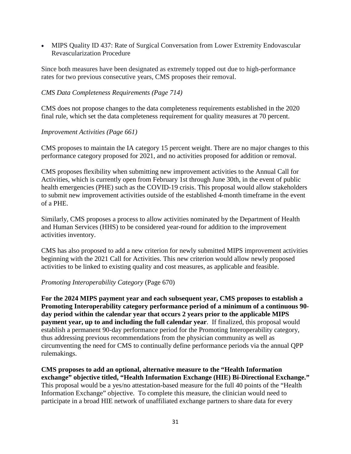• MIPS Quality ID 437: Rate of Surgical Conversation from Lower Extremity Endovascular Revascularization Procedure

Since both measures have been designated as extremely topped out due to high-performance rates for two previous consecutive years, CMS proposes their removal.

### *CMS Data Completeness Requirements (Page 714)*

CMS does not propose changes to the data completeness requirements established in the 2020 final rule, which set the data completeness requirement for quality measures at 70 percent.

### *Improvement Activities (Page 661)*

CMS proposes to maintain the IA category 15 percent weight. There are no major changes to this performance category proposed for 2021, and no activities proposed for addition or removal.

CMS proposes flexibility when submitting new improvement activities to the Annual Call for Activities, which is currently open from February 1st through June 30th, in the event of public health emergencies (PHE) such as the COVID-19 crisis. This proposal would allow stakeholders to submit new improvement activities outside of the established 4-month timeframe in the event of a PHE.

Similarly, CMS proposes a process to allow activities nominated by the Department of Health and Human Services (HHS) to be considered year-round for addition to the improvement activities inventory.

CMS has also proposed to add a new criterion for newly submitted MIPS improvement activities beginning with the 2021 Call for Activities. This new criterion would allow newly proposed activities to be linked to existing quality and cost measures, as applicable and feasible.

### *Promoting Interoperability Category* (Page 670)

**For the 2024 MIPS payment year and each subsequent year, CMS proposes to establish a Promoting Interoperability category performance period of a minimum of a continuous 90 day period within the calendar year that occurs 2 years prior to the applicable MIPS payment year, up to and including the full calendar year**. If finalized, this proposal would establish a permanent 90-day performance period for the Promoting Interoperability category, thus addressing previous recommendations from the physician community as well as circumventing the need for CMS to continually define performance periods via the annual QPP rulemakings.

**CMS proposes to add an optional, alternative measure to the "Health Information exchange" objective titled, "Health Information Exchange (HIE) Bi-Directional Exchange."** This proposal would be a yes/no attestation-based measure for the full 40 points of the "Health Information Exchange" objective. To complete this measure, the clinician would need to participate in a broad HIE network of unaffiliated exchange partners to share data for every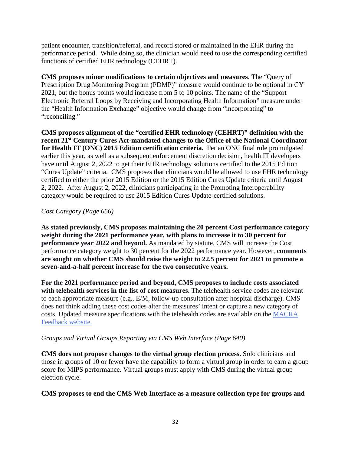patient encounter, transition/referral, and record stored or maintained in the EHR during the performance period. While doing so, the clinician would need to use the corresponding certified functions of certified EHR technology (CEHRT).

**CMS proposes minor modifications to certain objectives and measures**. The "Query of Prescription Drug Monitoring Program (PDMP)" measure would continue to be optional in CY 2021, but the bonus points would increase from 5 to 10 points. The name of the "Support Electronic Referral Loops by Receiving and Incorporating Health Information" measure under the "Health Information Exchange" objective would change from "incorporating" to "reconciling."

**CMS proposes alignment of the "certified EHR technology (CEHRT)" definition with the recent 21st Century Cures Act-mandated changes to the Office of the National Coordinator for Health IT (ONC) 2015 Edition certification criteria.** Per an ONC final rule promulgated earlier this year, as well as a subsequent enforcement discretion decision, health IT developers have until August 2, 2022 to get their EHR technology solutions certified to the 2015 Edition "Cures Update" criteria. CMS proposes that clinicians would be allowed to use EHR technology certified to either the prior 2015 Edition or the 2015 Edition Cures Update criteria until August 2, 2022. After August 2, 2022, clinicians participating in the Promoting Interoperability category would be required to use 2015 Edition Cures Update-certified solutions.

## *Cost Category (Page 656)*

**As stated previously, CMS proposes maintaining the 20 percent Cost performance category weight during the 2021 performance year, with plans to increase it to 30 percent for performance year 2022 and beyond.** As mandated by statute, CMS will increase the Cost performance category weight to 30 percent for the 2022 performance year. However, **comments are sought on whether CMS should raise the weight to 22.5 percent for 2021 to promote a seven-and-a-half percent increase for the two consecutive years.**

**For the 2021 performance period and beyond, CMS proposes to include costs associated with telehealth services in the list of cost measures.** The telehealth service codes are relevant to each appropriate measure (e.g., E/M, follow-up consultation after hospital discharge). CMS does not think adding these cost codes alter the measures' intent or capture a new category of costs. Updated measure specifications with the telehealth codes are available on the [MACRA](http://www.cms.gov/Medicare/Quality-Payment-Program/Quality-Payment-Program/Give-Feedback)  [Feedback website.](http://www.cms.gov/Medicare/Quality-Payment-Program/Quality-Payment-Program/Give-Feedback)

## *Groups and Virtual Groups Reporting via CMS Web Interface (Page 640)*

**CMS does not propose changes to the virtual group election process.** Solo clinicians and those in groups of 10 or fewer have the capability to form a virtual group in order to earn a group score for MIPS performance. Virtual groups must apply with CMS during the virtual group election cycle.

### **CMS proposes to end the CMS Web Interface as a measure collection type for groups and**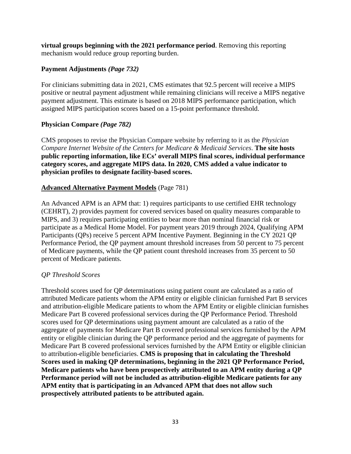**virtual groups beginning with the 2021 performance period**. Removing this reporting mechanism would reduce group reporting burden.

## **Payment Adjustments** *(Page 732)*

For clinicians submitting data in 2021, CMS estimates that 92.5 percent will receive a MIPS positive or neutral payment adjustment while remaining clinicians will receive a MIPS negative payment adjustment. This estimate is based on 2018 MIPS performance participation, which assigned MIPS participation scores based on a 15-point performance threshold.

### **Physician Compare** *(Page 782)*

CMS proposes to revise the Physician Compare website by referring to it as the *Physician Compare Internet Website of the Centers for Medicare & Medicaid Services*. **The site hosts public reporting information, like ECs' overall MIPS final scores, individual performance category scores, and aggregate MIPS data. In 2020, CMS added a value indicator to physician profiles to designate facility-based scores.**

### **Advanced Alternative Payment Models** (Page 781)

An Advanced APM is an APM that: 1) requires participants to use certified EHR technology (CEHRT), 2) provides payment for covered services based on quality measures comparable to MIPS, and 3) requires participating entities to bear more than nominal financial risk or participate as a Medical Home Model. For payment years 2019 through 2024, Qualifying APM Participants (QPs) receive 5 percent APM Incentive Payment. Beginning in the CY 2021 QP Performance Period, the QP payment amount threshold increases from 50 percent to 75 percent of Medicare payments, while the QP patient count threshold increases from 35 percent to 50 percent of Medicare patients.

### *QP Threshold Scores*

Threshold scores used for QP determinations using patient count are calculated as a ratio of attributed Medicare patients whom the APM entity or eligible clinician furnished Part B services and attribution-eligible Medicare patients to whom the APM Entity or eligible clinician furnishes Medicare Part B covered professional services during the QP Performance Period. Threshold scores used for QP determinations using payment amount are calculated as a ratio of the aggregate of payments for Medicare Part B covered professional services furnished by the APM entity or eligible clinician during the QP performance period and the aggregate of payments for Medicare Part B covered professional services furnished by the APM Entity or eligible clinician to attribution-eligible beneficiaries. **CMS is proposing that in calculating the Threshold Scores used in making QP determinations, beginning in the 2021 QP Performance Period, Medicare patients who have been prospectively attributed to an APM entity during a QP Performance period will not be included as attribution-eligible Medicare patients for any APM entity that is participating in an Advanced APM that does not allow such prospectively attributed patients to be attributed again.**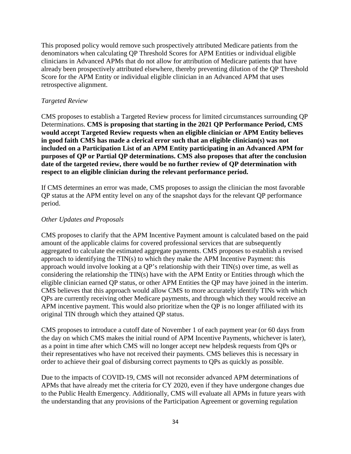This proposed policy would remove such prospectively attributed Medicare patients from the denominators when calculating QP Threshold Scores for APM Entities or individual eligible clinicians in Advanced APMs that do not allow for attribution of Medicare patients that have already been prospectively attributed elsewhere, thereby preventing dilution of the QP Threshold Score for the APM Entity or individual eligible clinician in an Advanced APM that uses retrospective alignment.

### *Targeted Review*

CMS proposes to establish a Targeted Review process for limited circumstances surrounding QP Determinations. **CMS is proposing that starting in the 2021 QP Performance Period, CMS would accept Targeted Review requests when an eligible clinician or APM Entity believes in good faith CMS has made a clerical error such that an eligible clinician(s) was not included on a Participation List of an APM Entity participating in an Advanced APM for purposes of QP or Partial QP determinations. CMS also proposes that after the conclusion date of the targeted review, there would be no further review of QP determination with respect to an eligible clinician during the relevant performance period.**

If CMS determines an error was made, CMS proposes to assign the clinician the most favorable QP status at the APM entity level on any of the snapshot days for the relevant QP performance period.

### *Other Updates and Proposals*

CMS proposes to clarify that the APM Incentive Payment amount is calculated based on the paid amount of the applicable claims for covered professional services that are subsequently aggregated to calculate the estimated aggregate payments. CMS proposes to establish a revised approach to identifying the TIN(s) to which they make the APM Incentive Payment: this approach would involve looking at a QP's relationship with their TIN(s) over time, as well as considering the relationship the TIN(s) have with the APM Entity or Entities through which the eligible clinician earned QP status, or other APM Entities the QP may have joined in the interim. CMS believes that this approach would allow CMS to more accurately identify TINs with which QPs are currently receiving other Medicare payments, and through which they would receive an APM incentive payment. This would also prioritize when the QP is no longer affiliated with its original TIN through which they attained QP status.

CMS proposes to introduce a cutoff date of November 1 of each payment year (or 60 days from the day on which CMS makes the initial round of APM Incentive Payments, whichever is later), as a point in time after which CMS will no longer accept new helpdesk requests from QPs or their representatives who have not received their payments. CMS believes this is necessary in order to achieve their goal of disbursing correct payments to QPs as quickly as possible.

Due to the impacts of COVID-19, CMS will not reconsider advanced APM determinations of APMs that have already met the criteria for CY 2020, even if they have undergone changes due to the Public Health Emergency. Additionally, CMS will evaluate all APMs in future years with the understanding that any provisions of the Participation Agreement or governing regulation